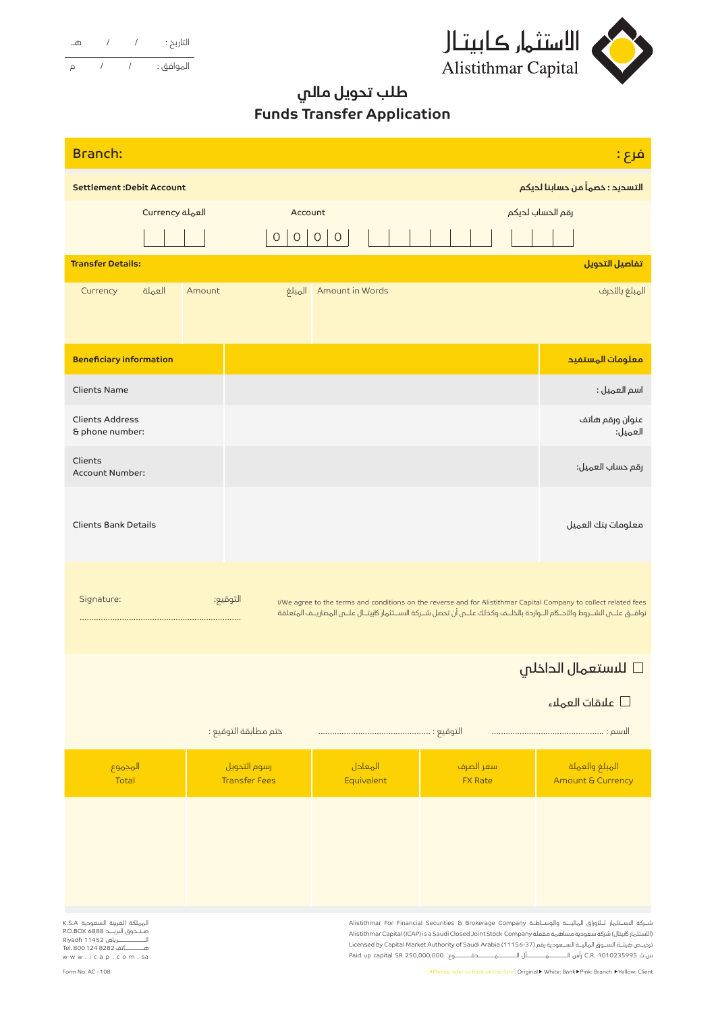



## **طلب تحويل مالي Funds Transfer Application**

| <b>Branch:</b><br>فرع :                                                                                             |        |        |                                      |                            |                                                                                                                                                                                                                                                                                                                                                  |                                     |  |
|---------------------------------------------------------------------------------------------------------------------|--------|--------|--------------------------------------|----------------------------|--------------------------------------------------------------------------------------------------------------------------------------------------------------------------------------------------------------------------------------------------------------------------------------------------------------------------------------------------|-------------------------------------|--|
| التسديد : خصماً من حسابنا لديكم<br><b>Settlement:Debit Account</b>                                                  |        |        |                                      |                            |                                                                                                                                                                                                                                                                                                                                                  |                                     |  |
| Currency العملة                                                                                                     |        |        | Account                              |                            |                                                                                                                                                                                                                                                                                                                                                  | رقم الحساب لديكم                    |  |
|                                                                                                                     |        |        | $\circ$<br>$\circ$                   | $\mathsf O$<br>$\mathsf O$ |                                                                                                                                                                                                                                                                                                                                                  |                                     |  |
| <b>Transfer Details:</b>                                                                                            |        |        |                                      |                            |                                                                                                                                                                                                                                                                                                                                                  | تفاصيل التحويل                      |  |
| Currency                                                                                                            | العملة | Amount | المبلغ                               | Amount in Words            |                                                                                                                                                                                                                                                                                                                                                  | المبلغ بالئحرف                      |  |
| <b>Beneficiary information</b>                                                                                      |        |        |                                      |                            |                                                                                                                                                                                                                                                                                                                                                  | معلومات المستفيد                    |  |
| <b>Clients Name</b>                                                                                                 |        |        |                                      |                            |                                                                                                                                                                                                                                                                                                                                                  | اسم العميل :                        |  |
| <b>Clients Address</b><br>& phone number:                                                                           |        |        |                                      |                            |                                                                                                                                                                                                                                                                                                                                                  | عنوان ورقم هاتف<br>العميل:          |  |
| Clients<br>Account Number:                                                                                          |        |        |                                      |                            |                                                                                                                                                                                                                                                                                                                                                  | رقم حساب العميل:                    |  |
| <b>Clients Bank Details</b>                                                                                         |        |        |                                      |                            |                                                                                                                                                                                                                                                                                                                                                  | معلومات بنك العميل                  |  |
| Signature:                                                                                                          |        |        | التوقيع:                             |                            | I/We agree to the terms and conditions on the reverse and for Alistithmar Capital Company to collect related fees<br>نوافــق علــــم الشــروط والأحــكام الــواردة بالخلــف وكذلك علـــم أن تحصل شــركة الاســتثمار كابيتــال علـــم المصاريــف المتعلقة                                                                                         |                                     |  |
|                                                                                                                     |        |        |                                      |                            |                                                                                                                                                                                                                                                                                                                                                  | ا <mark>للاستعمال الداخلي</mark> ا  |  |
|                                                                                                                     |        |        |                                      |                            |                                                                                                                                                                                                                                                                                                                                                  | علىقات العملاء $\Box$               |  |
|                                                                                                                     |        |        | ختم مطابقة التوقيع :                 |                            |                                                                                                                                                                                                                                                                                                                                                  |                                     |  |
| المجموع<br>Total                                                                                                    |        |        | رسوم التحويل<br><b>Transfer Fees</b> | المعادل<br>Equivalent      | سعر الصرف<br><b>FX Rate</b>                                                                                                                                                                                                                                                                                                                      | المبلغ والعملة<br>Amount & Currency |  |
|                                                                                                                     |        |        |                                      |                            |                                                                                                                                                                                                                                                                                                                                                  |                                     |  |
| المملكة العربية السعودية K.S.A<br>صندوق البريــد 6888 P.O.BOX<br>هــــــــــاتف 1248282 Tel. 800<br>www.icap.com.sa |        |        |                                      |                            | شــركة الىســتثمار لــلئوراق الماليــــة والوســاطــة Alistithmar For Financial Securities & Brokerage Company<br> الأستثمار كابيتال) شركة سعودية مساهمة مقفلة Alistithmar Capital (ICAP) is a Saudi Closed Joint Stock Company<br>نرخيـص هيئــة الســوق الماليــة الســعودية رقم (11153-1) Licensed by Capital Market Authority of Saudi Arabia |                                     |  |

.<br>●Please refer to back of this form Original ▶ White: Bank ▶ Pink: Branch ▶ Yellow: Client

ترخيــص هيئــة الســوق الماليــة الســعودية رقم (11156-37) Licensed by Capital Market Authority of Saudi Arabia س.ت 1010235995 .R.C رأس الــــــــمــــــــأل الــــــــمـــــــدفـــــــوع 250,000,000 SR capital up Paid